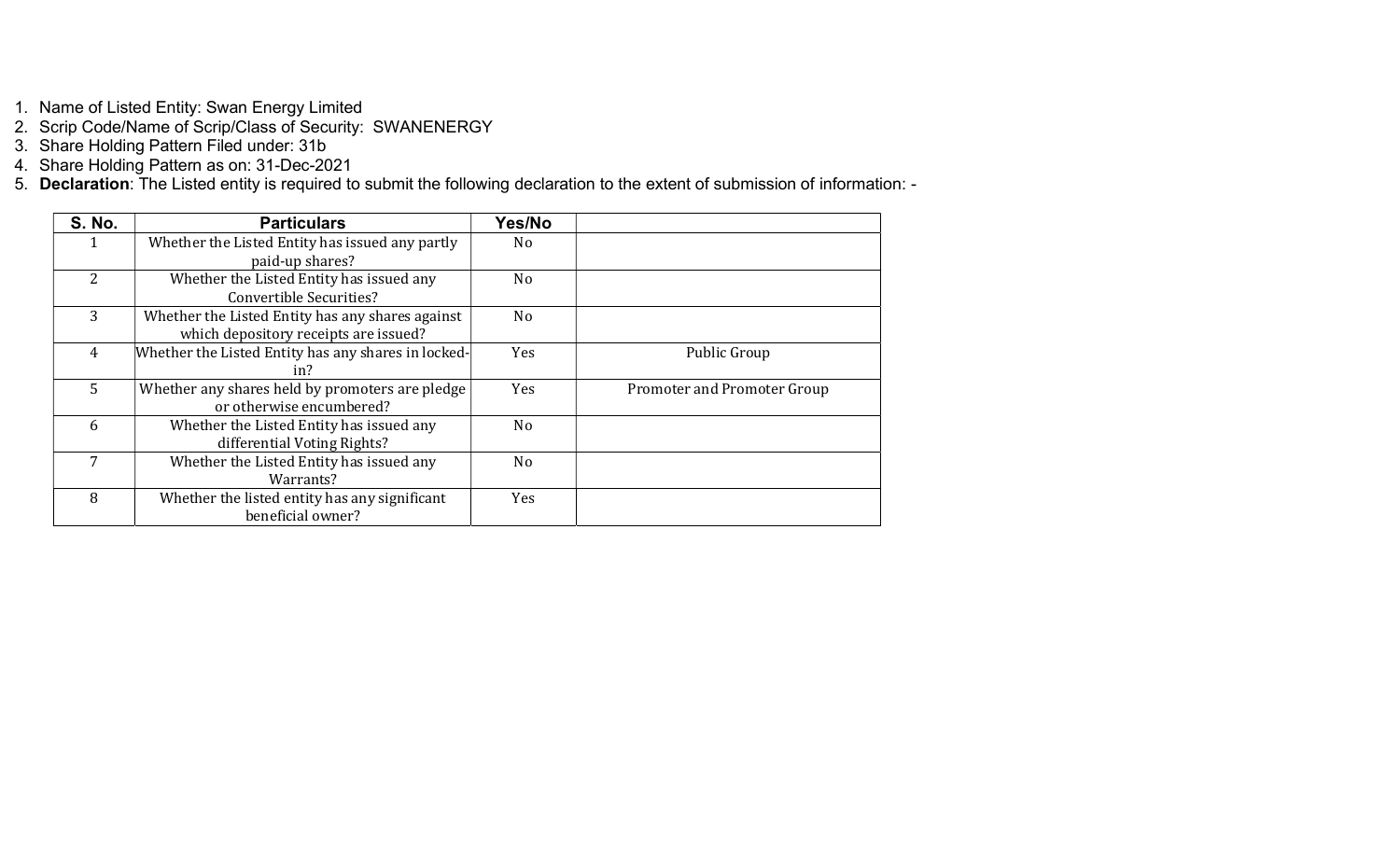1. Name of Listed Entity: Swan Energy Limited

2. Scrip Code/Name of Scrip/Class of Security: SWANENERGY

3. Share Holding Pattern Filed under: 31b

4. Share Holding Pattern as on: 31-Dec-2021

5. Declaration: The Listed entity is required to submit the following declaration to the extent of submission of information: -

| <b>S. No.</b>  | <b>Particulars</b>                                                                        | Yes/No         |                             |
|----------------|-------------------------------------------------------------------------------------------|----------------|-----------------------------|
|                | Whether the Listed Entity has issued any partly                                           | No             |                             |
|                | paid-up shares?                                                                           |                |                             |
| 2              | Whether the Listed Entity has issued any<br><b>Convertible Securities?</b>                | No             |                             |
| 3              | Whether the Listed Entity has any shares against<br>which depository receipts are issued? | N <sub>o</sub> |                             |
| $\overline{4}$ | Whether the Listed Entity has any shares in locked-<br>in?                                | <b>Yes</b>     | Public Group                |
| 5 <sup>1</sup> | Whether any shares held by promoters are pledge<br>or otherwise encumbered?               | <b>Yes</b>     | Promoter and Promoter Group |
| 6              | Whether the Listed Entity has issued any<br>differential Voting Rights?                   | No             |                             |
| 7              | Whether the Listed Entity has issued any<br>Warrants?                                     | No             |                             |
| 8              | Whether the listed entity has any significant<br>beneficial owner?                        | Yes            |                             |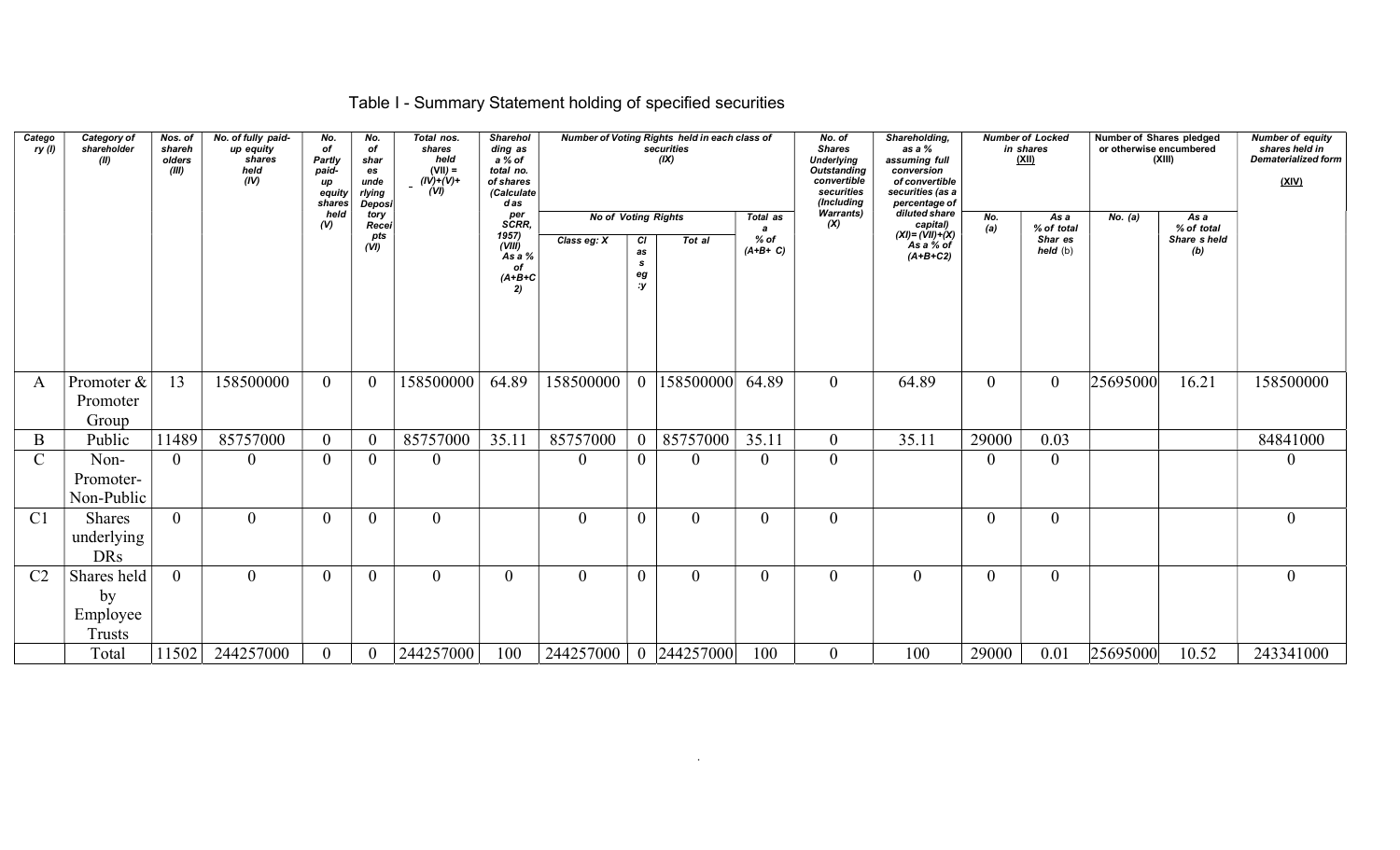## Table I - Summary Statement holding of specified securities

| Catego<br>ry(1) | Category of<br>shareholder<br>(II)             | Nos. of<br>shareh<br>olders<br>(III) | No. of fully paid-<br>up equity<br>shares<br>held<br>(IV) | No.<br>of<br>Partly<br>paid-<br>up<br>equity<br>shares | No.<br>of<br>shar<br>es<br>unde<br>rlying<br><b>Deposi</b> | Total nos.<br>shares<br>held<br>$(VII) =$<br>$(IV)+(V)+$<br>(VI) | <b>Sharehol</b><br>ding as<br>a % of<br>total no.<br>of shares<br>(Calculate<br>das |                                           |                                             | Number of Voting Rights held in each class of<br>securities<br>(IX) |                                    | No. of<br><b>Shares</b><br><b>Underlying</b><br><b>Outstanding</b><br>convertible<br>securities<br>(Including | Shareholding,<br>as a %<br>assuming full<br>conversion<br>of convertible<br>securities (as a<br>percentage of |                | <b>Number of Locked</b><br>in shares<br><u>(XII)</u> | <b>Number of Shares pledged</b><br>or otherwise encumbered | (XIII)                                   | <b>Number of equity</b><br>shares held in<br><b>Dematerialized form</b><br>(XIV) |
|-----------------|------------------------------------------------|--------------------------------------|-----------------------------------------------------------|--------------------------------------------------------|------------------------------------------------------------|------------------------------------------------------------------|-------------------------------------------------------------------------------------|-------------------------------------------|---------------------------------------------|---------------------------------------------------------------------|------------------------------------|---------------------------------------------------------------------------------------------------------------|---------------------------------------------------------------------------------------------------------------|----------------|------------------------------------------------------|------------------------------------------------------------|------------------------------------------|----------------------------------------------------------------------------------|
|                 |                                                |                                      |                                                           | held<br>$\mathcal{U}$                                  | tory<br>Recei<br>pts<br>(VI)                               |                                                                  | per<br>SCRR,<br>1957)<br>(VIII)<br>As a %<br>of<br>$(A+B+C$<br>2)                   | <b>No of Voting Rights</b><br>Class eg: X | <b>CI</b><br>as<br>$\mathbf{s}$<br>eg<br>:y | Tot al                                                              | Total as<br>a<br>% of<br>$(A+B+C)$ | <b>Warrants)</b><br>(X)                                                                                       | diluted share<br>capital)<br>$(XI) = (VII) + (X)$<br>As a % of<br>$(A+B+C2)$                                  | No.<br>(a)     | As a<br>% of total<br>Shar es<br>held (b)            | No. (a)                                                    | As a<br>% of total<br>Share sheld<br>(b) |                                                                                  |
|                 |                                                |                                      |                                                           |                                                        |                                                            |                                                                  |                                                                                     |                                           |                                             |                                                                     |                                    |                                                                                                               |                                                                                                               |                |                                                      |                                                            |                                          |                                                                                  |
| A               | Promoter &<br>Promoter<br>Group                | 13                                   | 158500000                                                 | $\overline{0}$                                         | $\overline{0}$                                             | 158500000                                                        | 64.89                                                                               | 158500000                                 | $\overline{0}$                              | 158500000                                                           | 64.89                              | $\overline{0}$                                                                                                | 64.89                                                                                                         | $\overline{0}$ | $\overline{0}$                                       | 25695000                                                   | 16.21                                    | 158500000                                                                        |
| B               | Public                                         | 11489                                | 85757000                                                  | $\overline{0}$                                         | $\overline{0}$                                             | 85757000                                                         | 35.11                                                                               | 85757000                                  | $\overline{0}$                              | 85757000                                                            | 35.11                              | $\overline{0}$                                                                                                | 35.11                                                                                                         | 29000          | 0.03                                                 |                                                            |                                          | 84841000                                                                         |
| $\mathcal{C}$   | Non-<br>Promoter-<br>Non-Public                | $\theta$                             | $\theta$                                                  | $\theta$                                               | $\overline{0}$                                             | $\overline{0}$                                                   |                                                                                     | $\theta$                                  | $\overline{0}$                              | $\overline{0}$                                                      | $\boldsymbol{0}$                   | $\overline{0}$                                                                                                |                                                                                                               | $\Omega$       | $\mathbf{0}$                                         |                                                            |                                          | $\theta$                                                                         |
| C <sub>1</sub>  | Shares<br>underlying<br><b>DRs</b>             | $\overline{0}$                       | $\theta$                                                  | $\theta$                                               | $\overline{0}$                                             | $\theta$                                                         |                                                                                     | $\theta$                                  | $\overline{0}$                              | $\theta$                                                            | $\overline{0}$                     | $\theta$                                                                                                      |                                                                                                               | $\theta$       | $\theta$                                             |                                                            |                                          | $\theta$                                                                         |
| C <sub>2</sub>  | Shares held<br>by<br>Employee<br><b>Trusts</b> | $\overline{0}$                       | $\theta$                                                  | $\overline{0}$                                         | $\overline{0}$                                             | $\theta$                                                         | $\overline{0}$                                                                      | $\theta$                                  | $\boldsymbol{0}$                            | $\mathbf{0}$                                                        | $\mathbf{0}$                       | $\overline{0}$                                                                                                | $\mathbf{0}$                                                                                                  | $\theta$       | $\mathbf{0}$                                         |                                                            |                                          | $\overline{0}$                                                                   |
|                 | Total                                          | 11502                                | 244257000                                                 | $\overline{0}$                                         | $\overline{0}$                                             | 244257000                                                        | 100                                                                                 | 244257000                                 |                                             | 0 244257000                                                         | 100                                | $\overline{0}$                                                                                                | 100                                                                                                           | 29000          | 0.01                                                 | 25695000                                                   | 10.52                                    | 243341000                                                                        |

.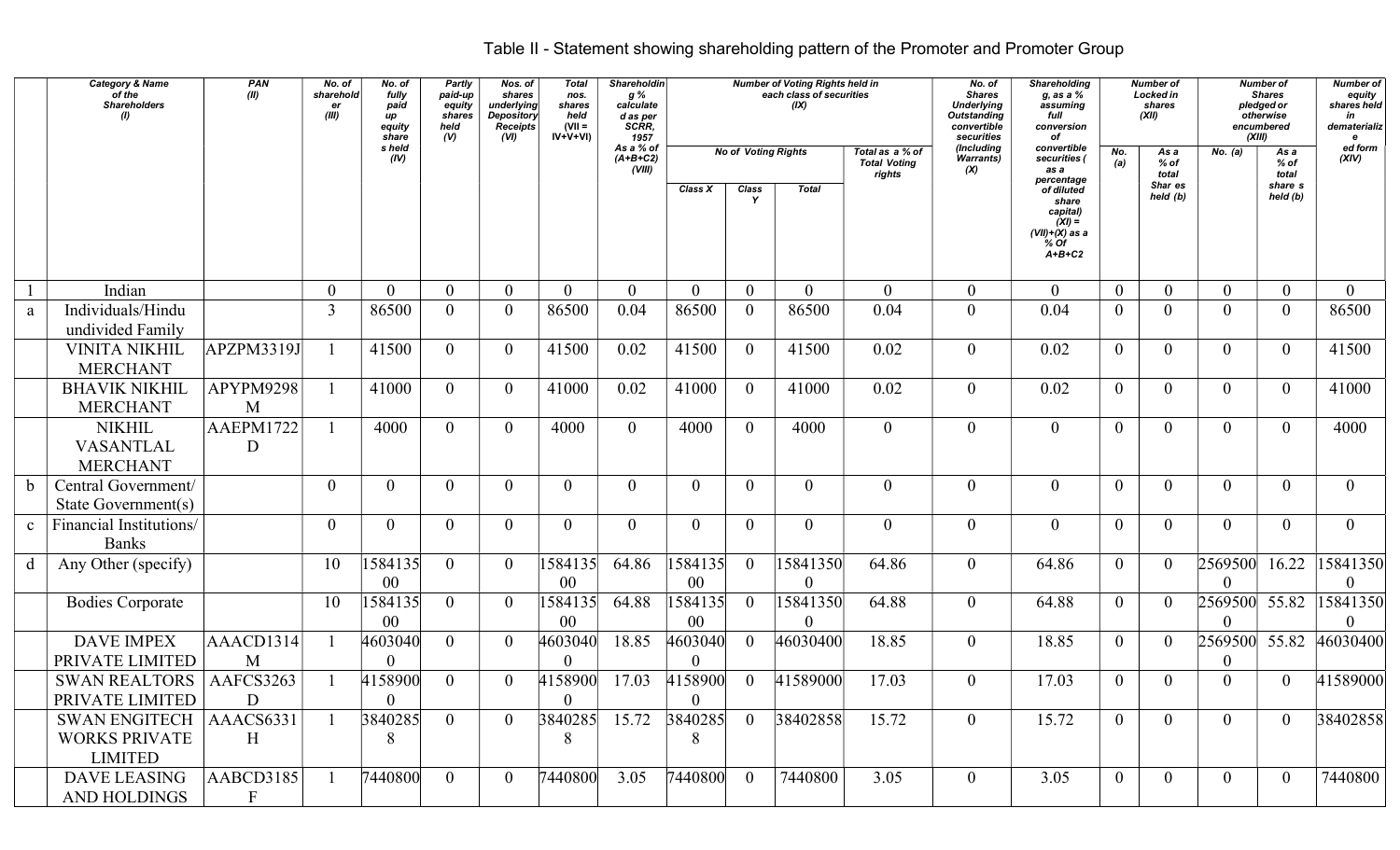## Table II - Statement showing shareholding pattern of the Promoter and Promoter Group

|              | <b>Category &amp; Name</b><br>of the<br><b>Shareholders</b> | PAN<br>(II)               | No. of<br>sharehold<br>er<br>(III) | No. of<br>fully<br>paid<br>иp<br>equity<br>share | <b>Partly</b><br>paid-up<br>equity<br>shares<br>held<br>(V) | Nos. of<br>shares<br>underlying<br><b>Depository</b><br><b>Receipts</b><br>(VI) | <b>Total</b><br>nos.<br>shares<br>held<br>$(VII =$<br>$IV+V+VI$ | Shareholdin<br>g %<br>calculate<br>d as per<br>SCRR,<br>1957 |                           |                   | <b>Number of Voting Rights held in</b><br>each class of securities<br>(IX) |                                                  | No. of<br><b>Shares</b><br><b>Underlying</b><br><b>Outstanding</b><br>convertible<br>securities | <b>Shareholding</b><br>g, as a %<br>assuming<br>full<br>conversion<br>of            |                | Number of<br>Locked in<br>shares<br>(XII) | (XIII)                    | <b>Number of</b><br><b>Shares</b><br>pledged or<br>otherwise<br>encumbered | <b>Number of</b><br>equity<br>shares held<br>in<br>dematerializ<br>e |
|--------------|-------------------------------------------------------------|---------------------------|------------------------------------|--------------------------------------------------|-------------------------------------------------------------|---------------------------------------------------------------------------------|-----------------------------------------------------------------|--------------------------------------------------------------|---------------------------|-------------------|----------------------------------------------------------------------------|--------------------------------------------------|-------------------------------------------------------------------------------------------------|-------------------------------------------------------------------------------------|----------------|-------------------------------------------|---------------------------|----------------------------------------------------------------------------|----------------------------------------------------------------------|
|              |                                                             |                           |                                    | s held<br>(IV)                                   |                                                             |                                                                                 |                                                                 | As a % of<br>$(A+B+C2)$<br>(VIII)                            |                           |                   | <b>No of Voting Rights</b>                                                 | Total as a % of<br><b>Total Voting</b><br>rights | (Including<br><b>Warrants)</b><br>(X)                                                           | convertible<br>securities (<br>as a<br>percentage                                   | No.<br>(a)     | As a<br>% of<br>total                     | <b>No.</b> (a)            | As a<br>$%$ of<br>total                                                    | ed form<br>(XIV)                                                     |
|              |                                                             |                           |                                    |                                                  |                                                             |                                                                                 |                                                                 |                                                              | Class X                   | <b>Class</b><br>Y | <b>Total</b>                                                               |                                                  |                                                                                                 | of diluted<br>share<br>capital)<br>$(XI) =$<br>(VII)+(X) as a<br>$%$ of<br>$A+B+C2$ |                | Shar es<br>held (b)                       |                           | share s<br>held (b)                                                        |                                                                      |
|              | Indian                                                      |                           | $\mathbf{0}$                       | $\overline{0}$                                   | $\overline{0}$                                              | $\theta$                                                                        | $\overline{0}$                                                  | $\theta$                                                     | $\overline{0}$            | $\overline{0}$    | $\overline{0}$                                                             | $\mathbf{0}$                                     | $\overline{0}$                                                                                  | $\overline{0}$                                                                      | $\overline{0}$ | $\overline{0}$                            | $\overline{0}$            | $\overline{0}$                                                             | $\overline{0}$                                                       |
| a            | Individuals/Hindu<br>undivided Family                       |                           | $\overline{3}$                     | 86500                                            | $\mathbf{0}$                                                | $\overline{0}$                                                                  | 86500                                                           | 0.04                                                         | 86500                     | $\overline{0}$    | 86500                                                                      | 0.04                                             | $\boldsymbol{0}$                                                                                | 0.04                                                                                | $\overline{0}$ | $\theta$                                  | $\overline{0}$            | $\overline{0}$                                                             | 86500                                                                |
|              | <b>VINITA NIKHIL</b><br><b>MERCHANT</b>                     | APZPM3319J                |                                    | 41500                                            | $\mathbf{0}$                                                | $\overline{0}$                                                                  | 41500                                                           | 0.02                                                         | 41500                     | $\overline{0}$    | 41500                                                                      | 0.02                                             | $\mathbf{0}$                                                                                    | 0.02                                                                                | $\overline{0}$ | $\overline{0}$                            | $\overline{0}$            | $\theta$                                                                   | 41500                                                                |
|              | <b>BHAVIK NIKHIL</b><br><b>MERCHANT</b>                     | APYPM9298<br>M            |                                    | 41000                                            | $\overline{0}$                                              | $\overline{0}$                                                                  | 41000                                                           | 0.02                                                         | 41000                     | $\overline{0}$    | 41000                                                                      | 0.02                                             | $\mathbf{0}$                                                                                    | 0.02                                                                                | $\overline{0}$ | $\Omega$                                  | $\overline{0}$            | $\overline{0}$                                                             | 41000                                                                |
|              | <b>NIKHIL</b><br><b>VASANTLAL</b><br><b>MERCHANT</b>        | AAEPM1722<br>D            |                                    | 4000                                             | $\overline{0}$                                              | $\theta$                                                                        | 4000                                                            | $\overline{0}$                                               | 4000                      | $\overline{0}$    | 4000                                                                       | $\overline{0}$                                   | $\boldsymbol{0}$                                                                                | $\mathbf{0}$                                                                        | $\theta$       | $\Omega$                                  | $\overline{0}$            | $\overline{0}$                                                             | 4000                                                                 |
|              | Central Government/<br>State Government(s)                  |                           | $\overline{0}$                     | $\overline{0}$                                   | $\mathbf{0}$                                                | $\theta$                                                                        | $\overline{0}$                                                  | $\overline{0}$                                               | $\overline{0}$            | $\overline{0}$    | $\overline{0}$                                                             | $\mathbf{0}$                                     | $\boldsymbol{0}$                                                                                | $\boldsymbol{0}$                                                                    | $\overline{0}$ | $\theta$                                  | $\overline{0}$            | $\overline{0}$                                                             | $\overline{0}$                                                       |
| $\mathbf{c}$ | <b>Financial Institutions/</b><br><b>Banks</b>              |                           | $\overline{0}$                     | $\overline{0}$                                   | $\theta$                                                    | $\theta$                                                                        | $\overline{0}$                                                  | $\overline{0}$                                               | $\overline{0}$            | $\overline{0}$    | $\overline{0}$                                                             | $\overline{0}$                                   | $\mathbf{0}$                                                                                    | $\mathbf{0}$                                                                        | $\overline{0}$ | $\theta$                                  | $\overline{0}$            | $\overline{0}$                                                             | $\overline{0}$                                                       |
| d            | Any Other (specify)                                         |                           | 10                                 | 1584135<br>00                                    | $\overline{0}$                                              | $\overline{0}$                                                                  | 1584135<br>00                                                   | 64.86                                                        | 1584135<br>$00\,$         | $\overline{0}$    | 15841350<br>$\theta$                                                       | 64.86                                            | $\mathbf{0}$                                                                                    | 64.86                                                                               | $\overline{0}$ | $\Omega$                                  | 2569500<br>$\theta$       | 16.22                                                                      | 15841350<br>$\theta$                                                 |
|              | <b>Bodies Corporate</b>                                     |                           | 10                                 | 1584135<br>00                                    | $\overline{0}$                                              | $\theta$                                                                        | 1584135<br>$00\,$                                               | 64.88                                                        | 1584135<br>00             | $\overline{0}$    | 15841350<br>$\theta$                                                       | 64.88                                            | $\boldsymbol{0}$                                                                                | 64.88                                                                               | $\overline{0}$ | $\theta$                                  | 2569500 55.82<br>$\Omega$ |                                                                            | 15841350                                                             |
|              | <b>DAVE IMPEX</b><br>PRIVATE LIMITED                        | AAACD1314<br>M            |                                    | 4603040<br>$\mathbf{0}$                          | $\theta$                                                    | $\theta$                                                                        | 4603040<br>0                                                    | 18.85                                                        | 4603040                   | $\theta$          | 46030400                                                                   | 18.85                                            | $\overline{0}$                                                                                  | 18.85                                                                               | $\overline{0}$ | $\Omega$                                  | 2569500 55.82<br>$\theta$ |                                                                            | 46030400                                                             |
|              | <b>SWAN REALTORS</b><br>PRIVATE LIMITED                     | AAFCS3263<br>D            |                                    | 4158900<br>$\overline{0}$                        | $\theta$                                                    | $\Omega$                                                                        | 4158900<br>$\overline{0}$                                       | 17.03                                                        | 4158900<br>$\overline{0}$ | $\overline{0}$    | 41589000                                                                   | 17.03                                            | $\overline{0}$                                                                                  | 17.03                                                                               | $\overline{0}$ | $\Omega$                                  | $\overline{0}$            | $\overline{0}$                                                             | 41589000                                                             |
|              | SWAN ENGITECH<br><b>WORKS PRIVATE</b><br><b>LIMITED</b>     | AAACS6331<br>H            |                                    | 3840285<br>8                                     | $\theta$                                                    | $\Omega$                                                                        | 3840285<br>8                                                    | 15.72                                                        | 3840285<br>8              | $\overline{0}$    | 38402858                                                                   | 15.72                                            | $\overline{0}$                                                                                  | 15.72                                                                               | $\overline{0}$ | $\overline{0}$                            | $\overline{0}$            | $\theta$                                                                   | 38402858                                                             |
|              | <b>DAVE LEASING</b><br>AND HOLDINGS                         | AABCD3185<br>$\mathbf{F}$ |                                    | 7440800                                          | $\theta$                                                    | $\theta$                                                                        | 7440800                                                         | 3.05                                                         | 7440800                   | $\Omega$          | 7440800                                                                    | 3.05                                             | $\overline{0}$                                                                                  | 3.05                                                                                | $\overline{0}$ | $\theta$                                  | $\overline{0}$            | $\overline{0}$                                                             | 7440800                                                              |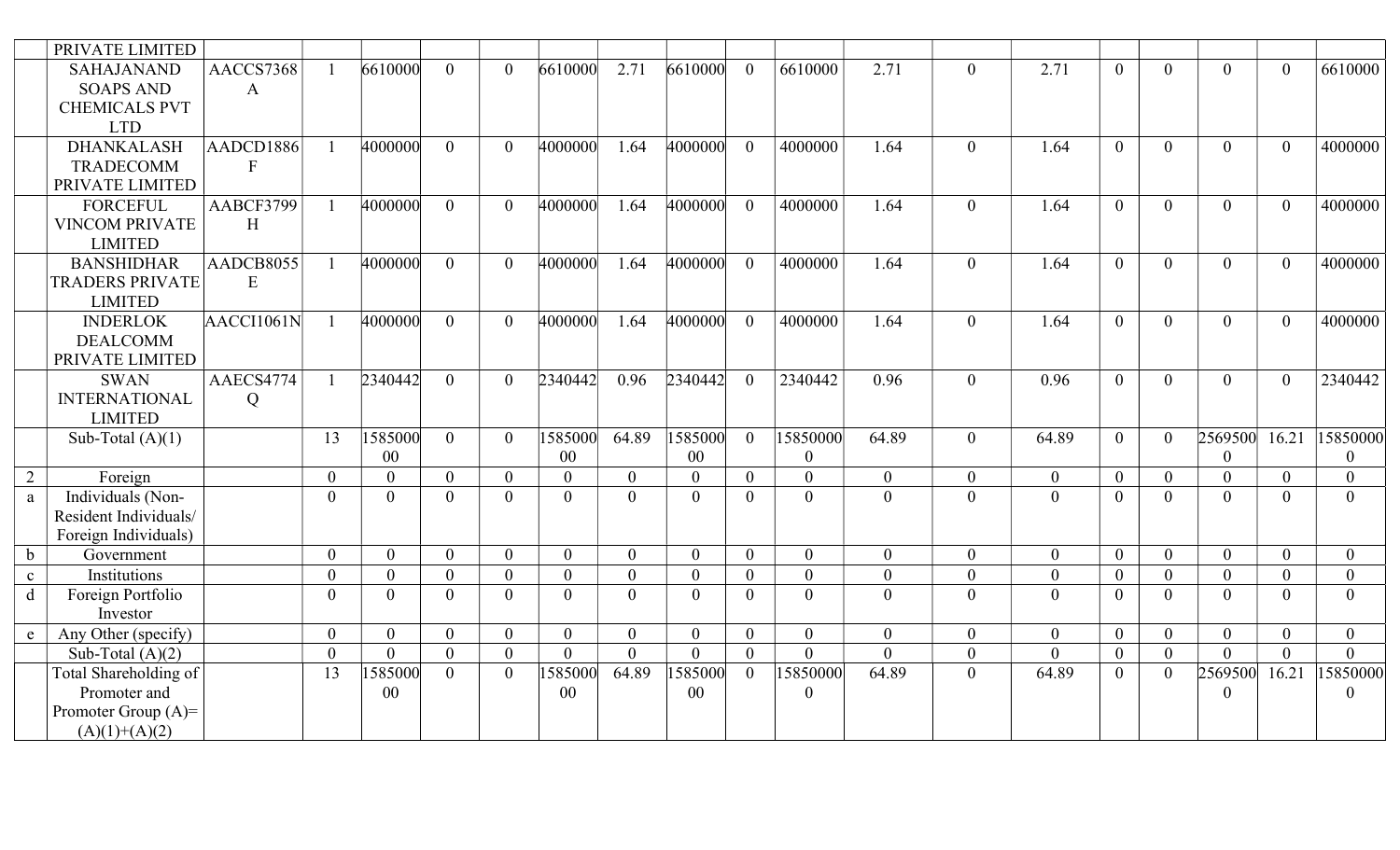|              | PRIVATE LIMITED                       |                           |                |                |                |                |                |                |                |                |                  |                  |                  |                |                |                      |                |                |                |
|--------------|---------------------------------------|---------------------------|----------------|----------------|----------------|----------------|----------------|----------------|----------------|----------------|------------------|------------------|------------------|----------------|----------------|----------------------|----------------|----------------|----------------|
|              | <b>SAHAJANAND</b><br><b>SOAPS AND</b> | AACCS7368<br>$\mathbf{A}$ |                | 6610000        | $\Omega$       | $\Omega$       | 6610000        | 2.71           | 6610000        | $\theta$       | 6610000          | 2.71             | $\overline{0}$   | 2.71           | $\theta$       | $\Omega$             | $\theta$       | $\theta$       | 6610000        |
|              | <b>CHEMICALS PVT</b>                  |                           |                |                |                |                |                |                |                |                |                  |                  |                  |                |                |                      |                |                |                |
|              | <b>LTD</b>                            |                           |                |                |                |                |                |                |                |                |                  |                  |                  |                |                |                      |                |                |                |
|              | <b>DHANKALASH</b>                     | AADCD1886                 |                | 4000000        | $\theta$       | $\overline{0}$ | 4000000        | 1.64           | 4000000        | $\overline{0}$ | 4000000          | 1.64             | $\overline{0}$   | 1.64           | $\overline{0}$ | $\Omega$             | $\overline{0}$ | $\theta$       | 4000000        |
|              | <b>TRADECOMM</b>                      | $\mathbf{F}$              |                |                |                |                |                |                |                |                |                  |                  |                  |                |                |                      |                |                |                |
|              | PRIVATE LIMITED                       |                           |                |                |                |                |                |                |                |                |                  |                  |                  |                |                |                      |                |                |                |
|              | <b>FORCEFUL</b>                       | AABCF3799                 |                | 4000000        | $\Omega$       | $\Omega$       | 4000000        | 1.64           | 4000000        | $\theta$       | 4000000          | 1.64             | $\overline{0}$   | 1.64           | $\theta$       | $\Omega$             | $\overline{0}$ | $\theta$       | 4000000        |
|              | <b>VINCOM PRIVATE</b>                 | H                         |                |                |                |                |                |                |                |                |                  |                  |                  |                |                |                      |                |                |                |
|              | <b>LIMITED</b>                        |                           |                |                |                |                |                |                |                |                |                  |                  |                  |                |                |                      |                |                |                |
|              | <b>BANSHIDHAR</b>                     | AADCB8055                 |                | 4000000        | $\theta$       | $\overline{0}$ | 4000000        | 1.64           | 4000000        | $\overline{0}$ | 4000000          | 1.64             | $\overline{0}$   | 1.64           | $\theta$       | $\theta$             | $\overline{0}$ | $\theta$       | 4000000        |
|              | <b>TRADERS PRIVATE</b>                | E                         |                |                |                |                |                |                |                |                |                  |                  |                  |                |                |                      |                |                |                |
|              | <b>LIMITED</b>                        |                           |                |                |                |                |                |                |                |                |                  |                  |                  |                |                |                      |                |                |                |
|              | <b>INDERLOK</b>                       | AACCI1061N                |                | 4000000        | $\theta$       | $\Omega$       | 4000000        | 1.64           | 4000000        | $\theta$       | 4000000          | 1.64             | $\overline{0}$   | 1.64           | $\theta$       | $\Omega$             | $\overline{0}$ | $\theta$       | 4000000        |
|              | <b>DEALCOMM</b>                       |                           |                |                |                |                |                |                |                |                |                  |                  |                  |                |                |                      |                |                |                |
|              | PRIVATE LIMITED                       |                           |                |                |                |                |                |                |                |                |                  |                  |                  |                |                |                      |                |                |                |
|              | <b>SWAN</b>                           | AAECS4774                 |                | 2340442        | $\mathbf{0}$   | $\Omega$       | 2340442        | 0.96           | 2340442        | $\overline{0}$ | 2340442          | 0.96             | $\overline{0}$   | 0.96           | $\overline{0}$ | $\Omega$             | $\overline{0}$ | $\mathbf{0}$   | 2340442        |
|              | <b>INTERNATIONAL</b>                  | $\overline{Q}$            |                |                |                |                |                |                |                |                |                  |                  |                  |                |                |                      |                |                |                |
|              | <b>LIMITED</b>                        |                           |                |                |                |                |                |                |                |                |                  |                  |                  |                |                |                      |                |                |                |
|              | Sub-Total $(A)(1)$                    |                           | 13             | 1585000        | $\theta$       | $\overline{0}$ | 1585000        | 64.89          | 1585000        | $\theta$       | 15850000         | 64.89            | $\overline{0}$   | 64.89          | $\theta$       | $\theta$             | 2569500        | 16.21          | 15850000       |
|              |                                       |                           |                | 00             |                |                | 00             |                | 00             |                | $\overline{0}$   |                  |                  |                |                |                      | $\mathbf{0}$   |                | $\Omega$       |
| 2            | Foreign                               |                           | $\overline{0}$ | $\overline{0}$ | $\mathbf{0}$   | $\overline{0}$ | $\overline{0}$ | $\overline{0}$ | $\overline{0}$ | $\overline{0}$ | $\overline{0}$   | $\mathbf{0}$     | $\overline{0}$   | $\overline{0}$ | $\overline{0}$ | $\theta$             | $\mathbf{0}$   | $\theta$       | $\theta$       |
| a            | Individuals (Non-                     |                           | $\theta$       | $\theta$       | $\theta$       | $\Omega$       | $\overline{0}$ | $\Omega$       | $\theta$       | $\overline{0}$ | $\Omega$         | $\theta$         | $\overline{0}$   | $\theta$       | $\theta$       | $\Omega$             | $\overline{0}$ | $\Omega$       | $\theta$       |
|              | Resident Individuals/                 |                           |                |                |                |                |                |                |                |                |                  |                  |                  |                |                |                      |                |                |                |
|              | Foreign Individuals)                  |                           |                |                |                |                |                |                |                |                |                  |                  |                  |                |                |                      |                |                |                |
| $\mathbf b$  | Government                            |                           | $\overline{0}$ | $\overline{0}$ | $\overline{0}$ | $\overline{0}$ | $\overline{0}$ | $\overline{0}$ | $\overline{0}$ | $\overline{0}$ | $\overline{0}$   | $\mathbf{0}$     | $\overline{0}$   | $\mathbf{0}$   | $\overline{0}$ | $\Omega$             | $\overline{0}$ | $\overline{0}$ | $\overline{0}$ |
| $\mathbf{c}$ | Institutions                          |                           | $\overline{0}$ | $\overline{0}$ | $\overline{0}$ | $\Omega$       | $\overline{0}$ | $\overline{0}$ | $\overline{0}$ | $\overline{0}$ | $\overline{0}$   | $\boldsymbol{0}$ | $\boldsymbol{0}$ | $\mathbf{0}$   | $\mathbf{0}$   | $\Omega$             | $\mathbf{0}$   | $\theta$       | $\theta$       |
| d            | Foreign Portfolio                     |                           | $\overline{0}$ | $\overline{0}$ | $\theta$       | $\Omega$       | $\overline{0}$ | $\theta$       | $\overline{0}$ | $\overline{0}$ | $\theta$         | $\overline{0}$   | $\overline{0}$   | $\mathbf{0}$   | $\theta$       | $\Omega$             | $\overline{0}$ | $\theta$       | $\theta$       |
|              | Investor                              |                           |                |                |                |                |                |                |                |                |                  |                  |                  |                |                |                      |                |                |                |
| e            | Any Other (specify)                   |                           | $\overline{0}$ | $\overline{0}$ | $\theta$       | $\overline{0}$ | $\overline{0}$ | $\mathbf{0}$   | $\overline{0}$ | $\overline{0}$ | $\overline{0}$   | $\mathbf{0}$     | $\overline{0}$   | $\overline{0}$ | $\overline{0}$ | $\theta$<br>$\Omega$ | $\overline{0}$ | $\theta$       | $\overline{0}$ |
|              | Sub-Total $(A)(2)$                    |                           | $\theta$       | $\Omega$       | $\theta$       | $\overline{0}$ | $\theta$       | $\theta$       | $\overline{0}$ | $\overline{0}$ | $\Omega$         | $\theta$         | $\boldsymbol{0}$ | $\overline{0}$ | $\overline{0}$ |                      | $\theta$       | $\theta$       | $\overline{0}$ |
|              | Total Shareholding of                 |                           | 13             | 585000         | $\Omega$       | $\Omega$       | 1585000        | 64.89          | 1585000        | $\overline{0}$ | 15850000         | 64.89            | $\overline{0}$   | 64.89          | $\overline{0}$ | $\Omega$             | 2569500        | 16.21          | 15850000       |
|              | Promoter and                          |                           |                | 00             |                |                | $00\,$         |                | $00\,$         |                | $\boldsymbol{0}$ |                  |                  |                |                |                      | $\mathbf{0}$   |                | $\Omega$       |
|              | Promoter Group $(A)$ =                |                           |                |                |                |                |                |                |                |                |                  |                  |                  |                |                |                      |                |                |                |
|              | $(A)(1)+(A)(2)$                       |                           |                |                |                |                |                |                |                |                |                  |                  |                  |                |                |                      |                |                |                |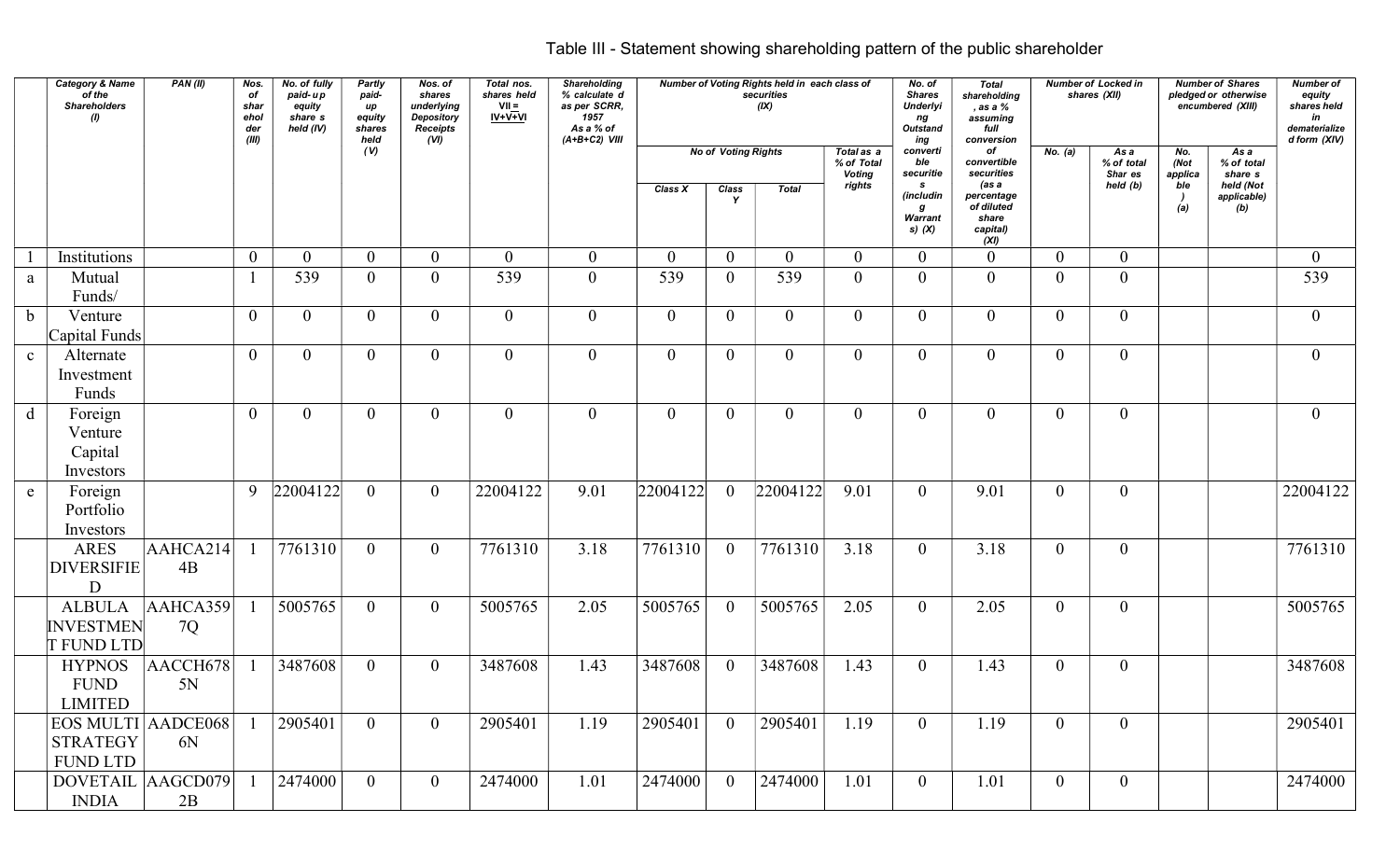|              | <b>Category &amp; Name</b><br>of the<br><b>Shareholders</b><br>(1) | PAN(II)                             | Nos.<br>of<br>shar<br>ehol<br>der<br>(III) | No. of fully<br>paid-up<br>equity<br>share s<br>held (IV) | Partly<br>paid-<br>up<br>equity<br>shares<br>held | Nos. of<br>shares<br>underlying<br>Depository<br><b>Receipts</b><br>(VI) | Total nos.<br>shares held<br>$VII =$<br>$IV+V+VI$ | Shareholding<br>% calculate d<br>as per SCRR,<br>1957<br>As a % of<br>$(A+B+C2)$ VIII |                |                            | Number of Voting Rights held in each class of<br>securities<br>(IX) |                                    | No. of<br><b>Shares</b><br><b>Underlyi</b><br>ng<br>Outstand<br>ing | Total<br>shareholding<br>, as a %<br>assuming<br>full<br>conversion |                | <b>Number of Locked in</b><br>shares (XII) |                        | <b>Number of Shares</b><br>pledged or otherwise<br>encumbered (XIII) | Number of<br>equity<br>shares held<br>in<br>dematerialize<br>d form (XIV) |
|--------------|--------------------------------------------------------------------|-------------------------------------|--------------------------------------------|-----------------------------------------------------------|---------------------------------------------------|--------------------------------------------------------------------------|---------------------------------------------------|---------------------------------------------------------------------------------------|----------------|----------------------------|---------------------------------------------------------------------|------------------------------------|---------------------------------------------------------------------|---------------------------------------------------------------------|----------------|--------------------------------------------|------------------------|----------------------------------------------------------------------|---------------------------------------------------------------------------|
|              |                                                                    |                                     |                                            |                                                           | (V)                                               |                                                                          |                                                   |                                                                                       |                | <b>No of Voting Rights</b> |                                                                     | Total as a<br>% of Total<br>Voting | converti<br>ble<br>securitie                                        | of<br>convertible<br>securities                                     | No. (a)        | As a<br>% of total<br>Shar es              | No.<br>(Not<br>applica | As a<br>% of total<br>share s                                        |                                                                           |
|              |                                                                    |                                     |                                            |                                                           |                                                   |                                                                          |                                                   |                                                                                       | Class X        | Class<br>Y                 | <b>Total</b>                                                        | rights                             | $\mathbf{s}$<br>(includin<br>g<br>Warrant<br>s) $(X)$               | (as a<br>percentage<br>of diluted<br>share<br>capital)<br>(XI)      |                | held (b)                                   | ble<br>(a)             | held (Not<br>applicable)<br>(b)                                      |                                                                           |
|              | Institutions                                                       |                                     | $\mathbf{0}$                               | $\overline{0}$                                            | $\overline{0}$                                    | $\overline{0}$                                                           | $\overline{0}$                                    | $\overline{0}$                                                                        | $\Omega$       | $\Omega$                   | $\overline{0}$                                                      | $\overline{0}$                     | $\overline{0}$                                                      | $\theta$                                                            | $\Omega$       | $\Omega$                                   |                        |                                                                      | $\overline{0}$                                                            |
| a            | Mutual<br>Funds/                                                   |                                     |                                            | 539                                                       | $\overline{0}$                                    | $\overline{0}$                                                           | 539                                               | $\overline{0}$                                                                        | 539            | $\Omega$                   | 539                                                                 | $\overline{0}$                     | $\theta$                                                            | $\theta$                                                            | $\theta$       | $\theta$                                   |                        |                                                                      | 539                                                                       |
| $\mathbf b$  | Venture<br>Capital Funds                                           |                                     | $\overline{0}$                             | $\Omega$                                                  | $\theta$                                          | $\Omega$                                                                 | $\theta$                                          | $\overline{0}$                                                                        | ∩              |                            | $\theta$                                                            | $\theta$                           | $\theta$                                                            | $\Omega$                                                            | $\Omega$       | $\Omega$                                   |                        |                                                                      | $\overline{0}$                                                            |
| $\mathbf{c}$ | Alternate<br>Investment<br>Funds                                   |                                     | $\overline{0}$                             | $\overline{0}$                                            | $\overline{0}$                                    | $\overline{0}$                                                           | $\overline{0}$                                    | $\overline{0}$                                                                        | $\overline{0}$ | $\overline{0}$             | $\overline{0}$                                                      | $\overline{0}$                     | $\overline{0}$                                                      | $\overline{0}$                                                      | $\overline{0}$ | $\overline{0}$                             |                        |                                                                      | $\overline{0}$                                                            |
| $\mathbf d$  | Foreign<br>Venture<br>Capital<br>Investors                         |                                     | $\overline{0}$                             | $\overline{0}$                                            | $\overline{0}$                                    | $\overline{0}$                                                           | $\overline{0}$                                    | $\overline{0}$                                                                        | $\overline{0}$ | $\theta$                   | $\overline{0}$                                                      | $\overline{0}$                     | $\overline{0}$                                                      | $\overline{0}$                                                      | $\overline{0}$ | $\overline{0}$                             |                        |                                                                      | $\overline{0}$                                                            |
| ${\bf e}$    | Foreign<br>Portfolio<br>Investors                                  |                                     |                                            | $9$  22004122                                             | $\overline{0}$                                    | $\overline{0}$                                                           | 22004122                                          | 9.01                                                                                  | 22004122       | $\Omega$                   | 22004122                                                            | 9.01                               | $\overline{0}$                                                      | 9.01                                                                | $\overline{0}$ | $\overline{0}$                             |                        |                                                                      | 22004122                                                                  |
|              | ARES<br><b>DIVERSIFIE</b><br>$\mathbf{D}$                          | $\overline{\text{AAHC}}$ A214<br>4B |                                            | $\sqrt{7761310}$                                          | $\overline{0}$                                    | $\overline{0}$                                                           | 7761310                                           | 3.18                                                                                  | 7761310        | $\theta$                   | 7761310                                                             | 3.18                               | $\overline{0}$                                                      | 3.18                                                                | $\overline{0}$ | $\overline{0}$                             |                        |                                                                      | 7761310                                                                   |
|              | <b>ALBULA</b><br><b>INVESTMEN</b><br><b>T FUND LTD</b>             | AAHCA359<br>7Q                      |                                            | 5005765                                                   | $\overline{0}$                                    | $\overline{0}$                                                           | 5005765                                           | 2.05                                                                                  | 5005765        | $\Omega$                   | 5005765                                                             | 2.05                               | $\overline{0}$                                                      | 2.05                                                                | $\theta$       | $\overline{0}$                             |                        |                                                                      | 5005765                                                                   |
|              | <b>HYPNOS</b><br><b>FUND</b><br>LIMITED                            | AACCH678<br>5N                      |                                            | 3487608                                                   | $\overline{0}$                                    | $\overline{0}$                                                           | 3487608                                           | 1.43                                                                                  | 3487608        |                            | 3487608                                                             | 1.43                               | $\overline{0}$                                                      | 1.43                                                                | $\overline{0}$ | $\overline{0}$                             |                        |                                                                      | 3487608                                                                   |
|              | <b>STRATEGY</b><br><b>FUND LTD</b>                                 | $EOS$ MULTI $ AA$ DCE068<br>6N      |                                            | 2905401                                                   | $\overline{0}$                                    | $\overline{0}$                                                           | 2905401                                           | 1.19                                                                                  | 2905401        |                            | 2905401                                                             | 1.19                               | $\bf{0}$                                                            | 1.19                                                                | $\overline{0}$ | $\overline{0}$                             |                        |                                                                      | 2905401                                                                   |
|              | DOVETAIL AAGCD079<br><b>INDIA</b>                                  |                                     |                                            | 2474000                                                   | $\overline{0}$                                    | $\overline{0}$                                                           | 2474000                                           | 1.01                                                                                  | 2474000        |                            | 2474000                                                             | 1.01                               | $\overline{0}$                                                      | 1.01                                                                | $\overline{0}$ | $\overline{0}$                             |                        |                                                                      | 2474000                                                                   |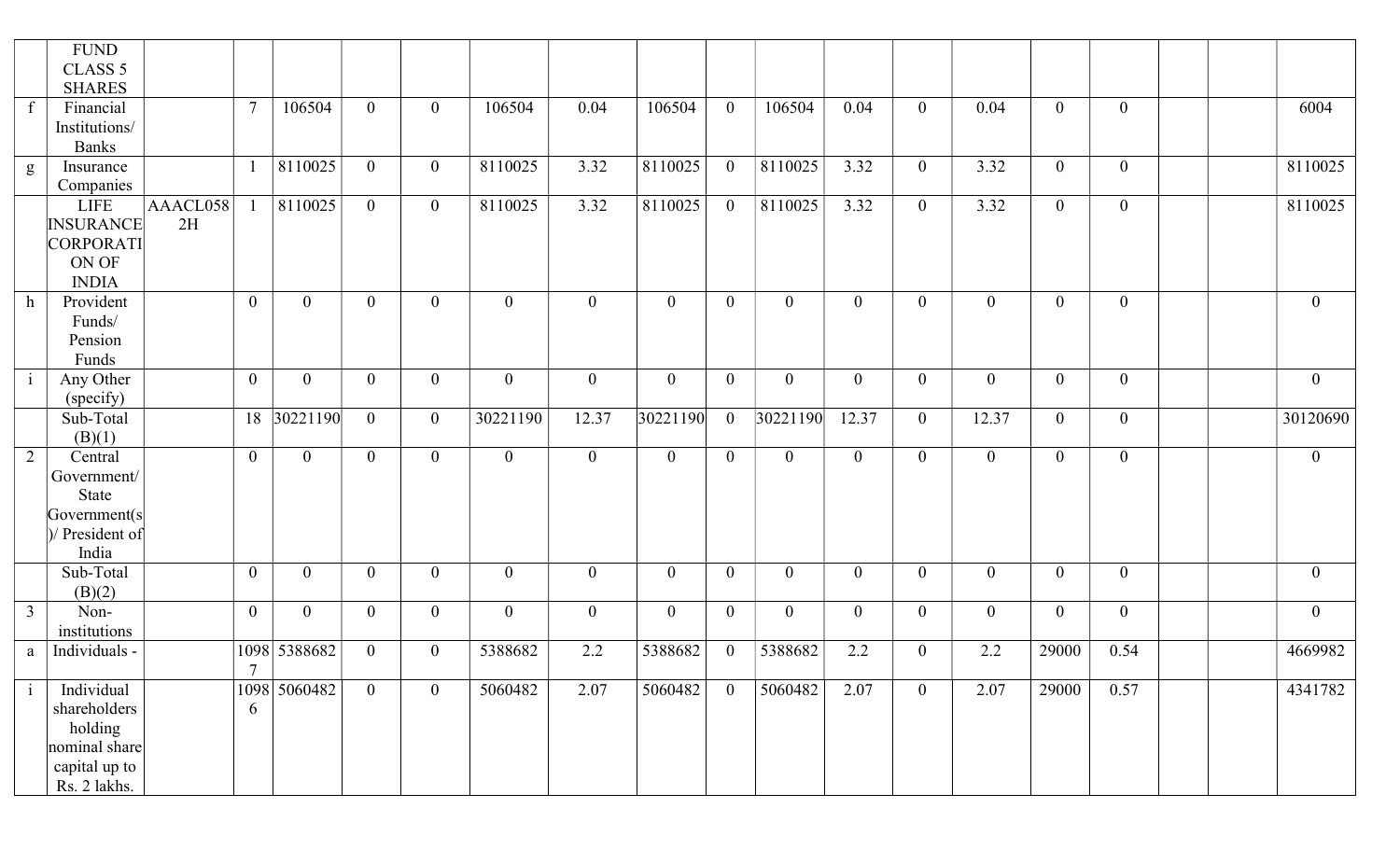|                | <b>FUND</b><br>CLASS <sub>5</sub> |          |                |                |                |                  |                  |                |                  |                |                |                |                  |                |                |                |                |
|----------------|-----------------------------------|----------|----------------|----------------|----------------|------------------|------------------|----------------|------------------|----------------|----------------|----------------|------------------|----------------|----------------|----------------|----------------|
|                | <b>SHARES</b>                     |          |                |                |                |                  |                  |                |                  |                |                |                |                  |                |                |                |                |
| $\mathbf{f}$   | Financial                         |          | $\tau$         | 106504         | $\overline{0}$ | $\overline{0}$   | 106504           | 0.04           | 106504           | $\overline{0}$ | 106504         | 0.04           | $\mathbf{0}$     | 0.04           | $\overline{0}$ | $\overline{0}$ | 6004           |
|                | Institutions/                     |          |                |                |                |                  |                  |                |                  |                |                |                |                  |                |                |                |                |
|                | <b>Banks</b>                      |          |                |                |                |                  |                  |                |                  |                |                |                |                  |                |                |                |                |
| g              | Insurance                         |          |                | 8110025        | $\overline{0}$ | $\overline{0}$   | 8110025          | 3.32           | 8110025          | $\overline{0}$ | 8110025        | 3.32           | $\overline{0}$   | 3.32           | $\overline{0}$ | $\overline{0}$ | 8110025        |
|                | Companies                         |          |                |                |                |                  |                  |                |                  |                |                |                |                  |                |                |                |                |
|                | <b>LIFE</b>                       | AAACL058 |                | 8110025        | $\overline{0}$ | $\overline{0}$   | 8110025          | 3.32           | 8110025          | $\overline{0}$ | 8110025        | 3.32           | $\mathbf{0}$     | 3.32           | $\mathbf{0}$   | $\overline{0}$ | 8110025        |
|                | <b>INSURANCE</b>                  | 2H       |                |                |                |                  |                  |                |                  |                |                |                |                  |                |                |                |                |
|                | CORPORATI<br>ON OF                |          |                |                |                |                  |                  |                |                  |                |                |                |                  |                |                |                |                |
|                | <b>INDIA</b>                      |          |                |                |                |                  |                  |                |                  |                |                |                |                  |                |                |                |                |
| h              | Provident                         |          | $\overline{0}$ | $\mathbf{0}$   | $\overline{0}$ | $\overline{0}$   | $\overline{0}$   | $\overline{0}$ | $\boldsymbol{0}$ | $\overline{0}$ | $\overline{0}$ | $\overline{0}$ | $\overline{0}$   | $\overline{0}$ | $\overline{0}$ | $\overline{0}$ | $\overline{0}$ |
|                | Funds/                            |          |                |                |                |                  |                  |                |                  |                |                |                |                  |                |                |                |                |
|                | Pension                           |          |                |                |                |                  |                  |                |                  |                |                |                |                  |                |                |                |                |
|                | Funds                             |          |                |                |                |                  |                  |                |                  |                |                |                |                  |                |                |                |                |
| $\mathbf{i}$   | Any Other                         |          | $\overline{0}$ | $\overline{0}$ | $\overline{0}$ | $\overline{0}$   | $\overline{0}$   | $\overline{0}$ | $\overline{0}$   | $\overline{0}$ | $\overline{0}$ | $\overline{0}$ | $\boldsymbol{0}$ | $\overline{0}$ | $\overline{0}$ | $\overline{0}$ | $\overline{0}$ |
|                | (specify)                         |          |                |                |                |                  |                  |                |                  |                |                |                |                  |                |                |                |                |
|                | Sub-Total                         |          | 18             | 30221190       | $\overline{0}$ | $\overline{0}$   | 30221190         | 12.37          | 30221190         | $\overline{0}$ | 30221190       | 12.37          | $\overline{0}$   | 12.37          | $\overline{0}$ | $\overline{0}$ | 30120690       |
|                | (B)(1)                            |          |                |                |                |                  |                  |                |                  |                |                |                |                  |                |                |                |                |
| $\overline{2}$ | Central                           |          | $\overline{0}$ | $\mathbf{0}$   | $\overline{0}$ | $\overline{0}$   | $\overline{0}$   | $\overline{0}$ | $\boldsymbol{0}$ | $\overline{0}$ | $\overline{0}$ | $\overline{0}$ | $\mathbf{0}$     | $\overline{0}$ | $\overline{0}$ | $\overline{0}$ | $\overline{0}$ |
|                | Government/                       |          |                |                |                |                  |                  |                |                  |                |                |                |                  |                |                |                |                |
|                | State                             |          |                |                |                |                  |                  |                |                  |                |                |                |                  |                |                |                |                |
|                | Government(s)<br>)/ President of  |          |                |                |                |                  |                  |                |                  |                |                |                |                  |                |                |                |                |
|                | India                             |          |                |                |                |                  |                  |                |                  |                |                |                |                  |                |                |                |                |
|                | Sub-Total                         |          | $\overline{0}$ | $\mathbf{0}$   | $\overline{0}$ | $\mathbf{0}$     | $\boldsymbol{0}$ | $\mathbf{0}$   | $\boldsymbol{0}$ | $\overline{0}$ | $\overline{0}$ | $\overline{0}$ | $\mathbf{0}$     | $\mathbf{0}$   | $\overline{0}$ | $\overline{0}$ | $\overline{0}$ |
|                | (B)(2)                            |          |                |                |                |                  |                  |                |                  |                |                |                |                  |                |                |                |                |
| $\mathfrak{Z}$ | Non-                              |          | $\overline{0}$ | $\overline{0}$ | $\overline{0}$ | $\overline{0}$   | $\overline{0}$   | $\overline{0}$ | $\boldsymbol{0}$ | $\overline{0}$ | $\overline{0}$ | $\overline{0}$ | $\overline{0}$   | $\overline{0}$ | $\mathbf{0}$   | $\overline{0}$ | $\overline{0}$ |
|                | institutions                      |          |                |                |                |                  |                  |                |                  |                |                |                |                  |                |                |                |                |
| a              | Individuals -                     |          |                | 1098 5388682   | $\overline{0}$ | $\boldsymbol{0}$ | 5388682          | 2.2            | 5388682          | $\overline{0}$ | 5388682        | 2.2            | $\boldsymbol{0}$ | 2.2            | 29000          | 0.54           | 4669982        |
|                |                                   |          | $\overline{7}$ |                |                |                  |                  |                |                  |                |                |                |                  |                |                |                |                |
| $\mathbf{1}$   | Individual                        |          |                | 1098 5060482   | $\overline{0}$ | $\overline{0}$   | 5060482          | 2.07           | 5060482          | $\overline{0}$ | 5060482        | 2.07           | $\overline{0}$   | 2.07           | 29000          | 0.57           | 4341782        |
|                | shareholders                      |          | 6              |                |                |                  |                  |                |                  |                |                |                |                  |                |                |                |                |
|                | holding<br>nominal share          |          |                |                |                |                  |                  |                |                  |                |                |                |                  |                |                |                |                |
|                | capital up to                     |          |                |                |                |                  |                  |                |                  |                |                |                |                  |                |                |                |                |
|                |                                   |          |                |                |                |                  |                  |                |                  |                |                |                |                  |                |                |                |                |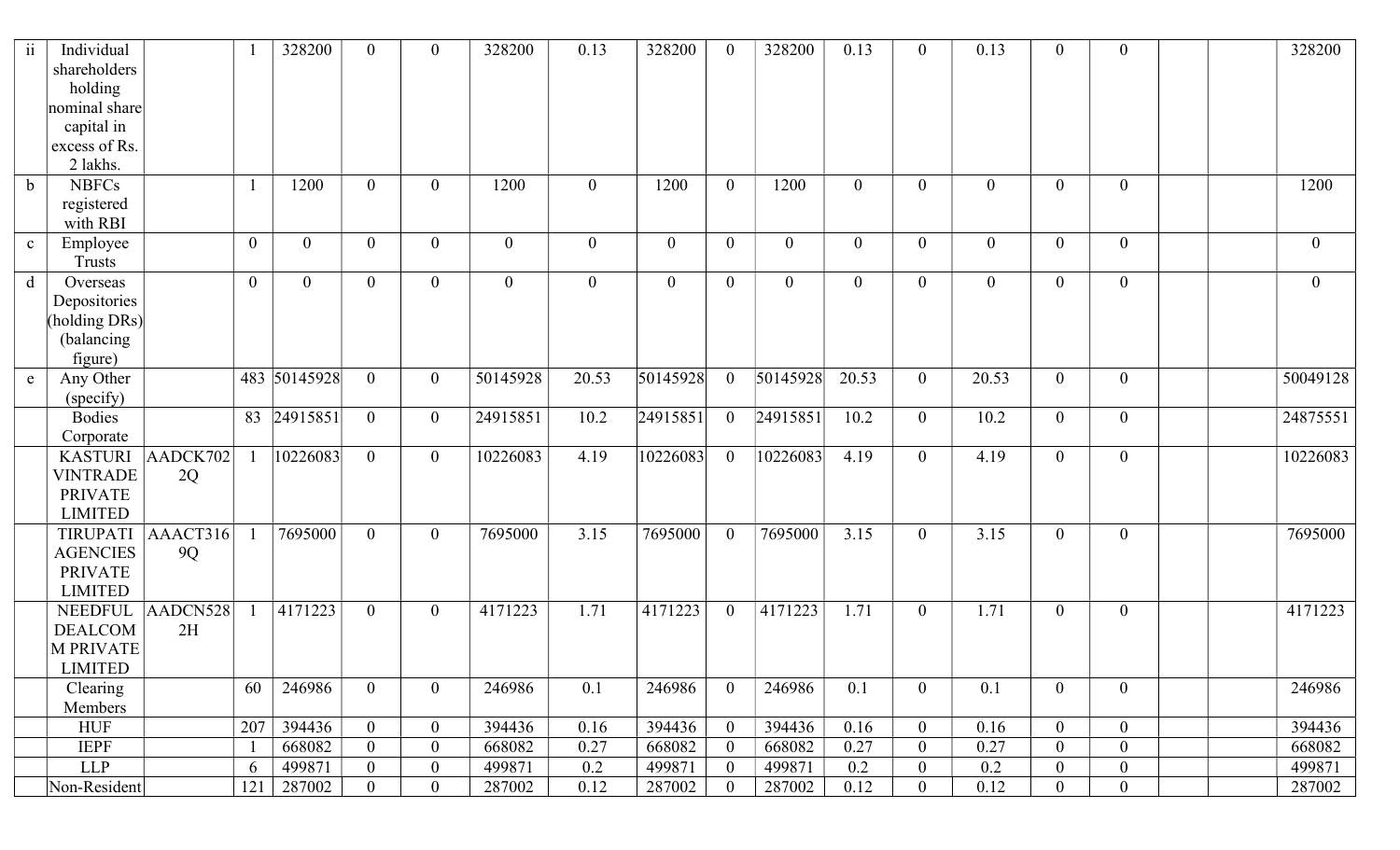| ii          | Individual<br>shareholders<br>holding |          |                | 328200         | $\overline{0}$ | $\mathbf{0}$     | 328200         | 0.13           | 328200           |                  | 328200         | 0.13           | $\overline{0}$   | 0.13             | $\overline{0}$   | $\mathbf{0}$     | 328200         |
|-------------|---------------------------------------|----------|----------------|----------------|----------------|------------------|----------------|----------------|------------------|------------------|----------------|----------------|------------------|------------------|------------------|------------------|----------------|
|             | nominal share                         |          |                |                |                |                  |                |                |                  |                  |                |                |                  |                  |                  |                  |                |
|             | capital in                            |          |                |                |                |                  |                |                |                  |                  |                |                |                  |                  |                  |                  |                |
|             | excess of Rs.                         |          |                |                |                |                  |                |                |                  |                  |                |                |                  |                  |                  |                  |                |
|             | 2 lakhs.                              |          |                |                |                |                  |                |                |                  |                  |                |                |                  |                  |                  |                  |                |
| $\mathbf b$ | <b>NBFCs</b>                          |          | $\mathbf{1}$   | 1200           | $\overline{0}$ | $\overline{0}$   | 1200           | $\overline{0}$ | 1200             | $\overline{0}$   | 1200           | $\overline{0}$ | $\overline{0}$   | $\mathbf{0}$     | $\overline{0}$   | $\overline{0}$   | 1200           |
|             | registered                            |          |                |                |                |                  |                |                |                  |                  |                |                |                  |                  |                  |                  |                |
|             | with RBI                              |          |                |                |                |                  |                |                |                  |                  |                |                |                  |                  |                  |                  |                |
| $\mathbf c$ | Employee                              |          | $\overline{0}$ | $\mathbf{0}$   | $\theta$       | $\overline{0}$   | $\overline{0}$ | $\mathbf{0}$   | $\boldsymbol{0}$ | 0                | $\overline{0}$ | $\overline{0}$ | $\overline{0}$   | $\overline{0}$   | $\boldsymbol{0}$ | $\overline{0}$   | $\overline{0}$ |
|             | <b>Trusts</b>                         |          | $\overline{0}$ | $\overline{0}$ | $\theta$       | $\overline{0}$   | $\overline{0}$ |                |                  | $\theta$         |                | $\overline{0}$ |                  |                  |                  | $\overline{0}$   |                |
| d           | Overseas<br>Depositories              |          |                |                |                |                  |                | $\overline{0}$ | $\boldsymbol{0}$ |                  | $\overline{0}$ |                | $\overline{0}$   | $\boldsymbol{0}$ | $\mathbf{0}$     |                  | $\overline{0}$ |
|             | (holding DRs)                         |          |                |                |                |                  |                |                |                  |                  |                |                |                  |                  |                  |                  |                |
|             | (balancing                            |          |                |                |                |                  |                |                |                  |                  |                |                |                  |                  |                  |                  |                |
|             | figure)                               |          |                |                |                |                  |                |                |                  |                  |                |                |                  |                  |                  |                  |                |
| $\mathbf e$ | Any Other                             |          |                | 483 50145928   | $\overline{0}$ | $\mathbf{0}$     | 50145928       | 20.53          | 50145928         | $\theta$         | 50145928       | 20.53          | $\overline{0}$   | 20.53            | $\mathbf{0}$     | $\overline{0}$   | 50049128       |
|             | (specify)                             |          |                |                |                |                  |                |                |                  |                  |                |                |                  |                  |                  |                  |                |
|             | <b>Bodies</b>                         |          | 83             | 24915851       | $\overline{0}$ | $\overline{0}$   | 24915851       | 10.2           | 24915851         | $\overline{0}$   | 24915851       | 10.2           | $\overline{0}$   | 10.2             | $\overline{0}$   | $\overline{0}$   | 24875551       |
|             | Corporate                             |          |                |                |                |                  |                |                |                  |                  |                |                |                  |                  |                  |                  |                |
|             | <b>KASTURI</b>                        | AADCK702 |                | 10226083       | $\overline{0}$ | $\overline{0}$   | 10226083       | 4.19           | 10226083         | $\theta$         | 10226083       | 4.19           | $\overline{0}$   | 4.19             | $\overline{0}$   | $\overline{0}$   | 10226083       |
|             | <b>VINTRADE</b>                       | 2Q       |                |                |                |                  |                |                |                  |                  |                |                |                  |                  |                  |                  |                |
|             | <b>PRIVATE</b>                        |          |                |                |                |                  |                |                |                  |                  |                |                |                  |                  |                  |                  |                |
|             | <b>LIMITED</b>                        |          |                |                |                |                  |                |                |                  |                  |                |                |                  |                  |                  |                  |                |
|             | TIRUPATI                              | AAACT316 |                | 7695000        | $\overline{0}$ | $\overline{0}$   | 7695000        | 3.15           | 7695000          | $\theta$         | 7695000        | 3.15           | $\overline{0}$   | 3.15             | $\overline{0}$   | $\overline{0}$   | 7695000        |
|             | <b>AGENCIES</b>                       | 9Q       |                |                |                |                  |                |                |                  |                  |                |                |                  |                  |                  |                  |                |
|             | <b>PRIVATE</b>                        |          |                |                |                |                  |                |                |                  |                  |                |                |                  |                  |                  |                  |                |
|             | <b>LIMITED</b>                        |          |                |                |                |                  |                |                |                  |                  |                |                |                  |                  |                  |                  |                |
|             | <b>NEEDFUL</b>                        | AADCN528 |                | 4171223        | $\overline{0}$ | $\overline{0}$   | 4171223        | 1.71           | 4171223          | $\overline{0}$   | 4171223        | 1.71           | $\overline{0}$   | 1.71             | $\mathbf{0}$     | $\overline{0}$   | 4171223        |
|             | <b>DEALCOM</b>                        | 2H       |                |                |                |                  |                |                |                  |                  |                |                |                  |                  |                  |                  |                |
|             | <b>M PRIVATE</b>                      |          |                |                |                |                  |                |                |                  |                  |                |                |                  |                  |                  |                  |                |
|             | <b>LIMITED</b>                        |          |                |                |                |                  |                |                |                  |                  |                |                |                  |                  |                  |                  |                |
|             | Clearing<br>Members                   |          | 60             | 246986         | $\overline{0}$ | $\overline{0}$   | 246986         | 0.1            | 246986           | $\overline{0}$   | 246986         | 0.1            | $\mathbf{0}$     | 0.1              | $\mathbf{0}$     | $\boldsymbol{0}$ | 246986         |
|             | <b>HUF</b>                            |          | 207            | 394436         | $\overline{0}$ | $\overline{0}$   | 394436         | 0.16           | 394436           | $\overline{0}$   | 394436         | 0.16           | $\overline{0}$   | 0.16             | $\boldsymbol{0}$ | $\overline{0}$   | 394436         |
|             | <b>IEPF</b>                           |          |                | 668082         | $\overline{0}$ | $\boldsymbol{0}$ | 668082         | 0.27           | 668082           | $\boldsymbol{0}$ | 668082         | 0.27           | $\boldsymbol{0}$ | 0.27             | $\boldsymbol{0}$ | $\boldsymbol{0}$ | 668082         |
|             | <b>LLP</b>                            |          | 6              | 499871         | $\overline{0}$ | $\overline{0}$   | 499871         | 0.2            | 499871           | $\overline{0}$   | 499871         | 0.2            | $\boldsymbol{0}$ | 0.2              | $\overline{0}$   | $\boldsymbol{0}$ | 499871         |
|             | Non-Resident                          |          | 121            | 287002         | $\overline{0}$ | $\overline{0}$   | 287002         | 0.12           | 287002           | $\overline{0}$   | 287002         | 0.12           | $\boldsymbol{0}$ | 0.12             | $\boldsymbol{0}$ | $\boldsymbol{0}$ | 287002         |
|             |                                       |          |                |                |                |                  |                |                |                  |                  |                |                |                  |                  |                  |                  |                |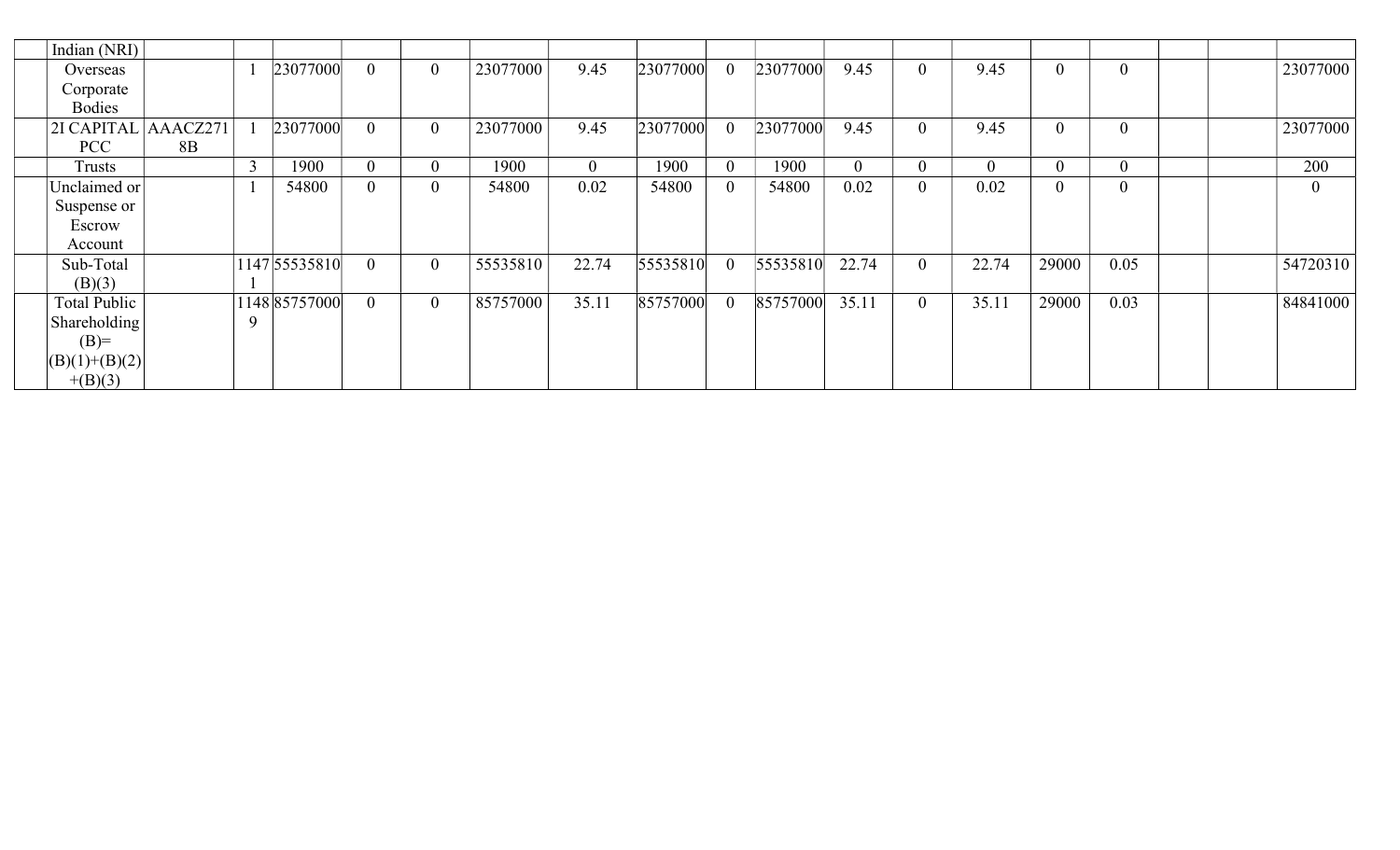| Indian (NRI)        |    |   |               |                |                  |          |              |          |                |          |          |                |                  |                  |                |                |
|---------------------|----|---|---------------|----------------|------------------|----------|--------------|----------|----------------|----------|----------|----------------|------------------|------------------|----------------|----------------|
| Overseas            |    |   | 23077000      | $\overline{0}$ | $\overline{0}$   | 23077000 | 9.45         | 23077000 | 0              | 23077000 | 9.45     | $\theta$       | 9.45             | $\overline{0}$   | $\theta$       | 23077000       |
| Corporate           |    |   |               |                |                  |          |              |          |                |          |          |                |                  |                  |                |                |
| <b>Bodies</b>       |    |   |               |                |                  |          |              |          |                |          |          |                |                  |                  |                |                |
| 2I CAPITAL AAACZ271 |    |   | 23077000      | $\Omega$       | $\boldsymbol{0}$ | 23077000 | 9.45         | 23077000 |                | 23077000 | 9.45     | $\theta$       | 9.45             | $\boldsymbol{0}$ | $\overline{0}$ | 23077000       |
| PCC                 | 8B |   |               |                |                  |          |              |          |                |          |          |                |                  |                  |                |                |
| Trusts              |    |   | 1900          | $\overline{0}$ | $\overline{0}$   | 1900     | $\mathbf{0}$ | 1900     | $\overline{0}$ | 1900     | $\Omega$ | $\theta$       | $\boldsymbol{0}$ | $\boldsymbol{0}$ | $\overline{0}$ | 200            |
| Unclaimed or        |    |   | 54800         | $\overline{0}$ | $\theta$         | 54800    | 0.02         | 54800    | $\overline{0}$ | 54800    | 0.02     | $\overline{0}$ | 0.02             | $\overline{0}$   | $\overline{0}$ | $\overline{0}$ |
| Suspense or         |    |   |               |                |                  |          |              |          |                |          |          |                |                  |                  |                |                |
| Escrow              |    |   |               |                |                  |          |              |          |                |          |          |                |                  |                  |                |                |
| Account             |    |   |               |                |                  |          |              |          |                |          |          |                |                  |                  |                |                |
| Sub-Total           |    |   | 1147 55535810 | $\overline{0}$ | $\boldsymbol{0}$ | 55535810 | 22.74        | 55535810 | $\overline{0}$ | 55535810 | 22.74    | $\overline{0}$ | 22.74            | 29000            | 0.05           | 54720310       |
| (B)(3)              |    |   |               |                |                  |          |              |          |                |          |          |                |                  |                  |                |                |
| Total Public        |    |   | 1148 85757000 | $\overline{0}$ | $\boldsymbol{0}$ | 85757000 | 35.11        | 85757000 | 0              | 85757000 | 35.11    | $\overline{0}$ | 35.11            | 29000            | 0.03           | 84841000       |
| Shareholding        |    | Q |               |                |                  |          |              |          |                |          |          |                |                  |                  |                |                |
| $(B)=$              |    |   |               |                |                  |          |              |          |                |          |          |                |                  |                  |                |                |
| $  (B)(1)+(B)(2) $  |    |   |               |                |                  |          |              |          |                |          |          |                |                  |                  |                |                |
| $+(B)(3)$           |    |   |               |                |                  |          |              |          |                |          |          |                |                  |                  |                |                |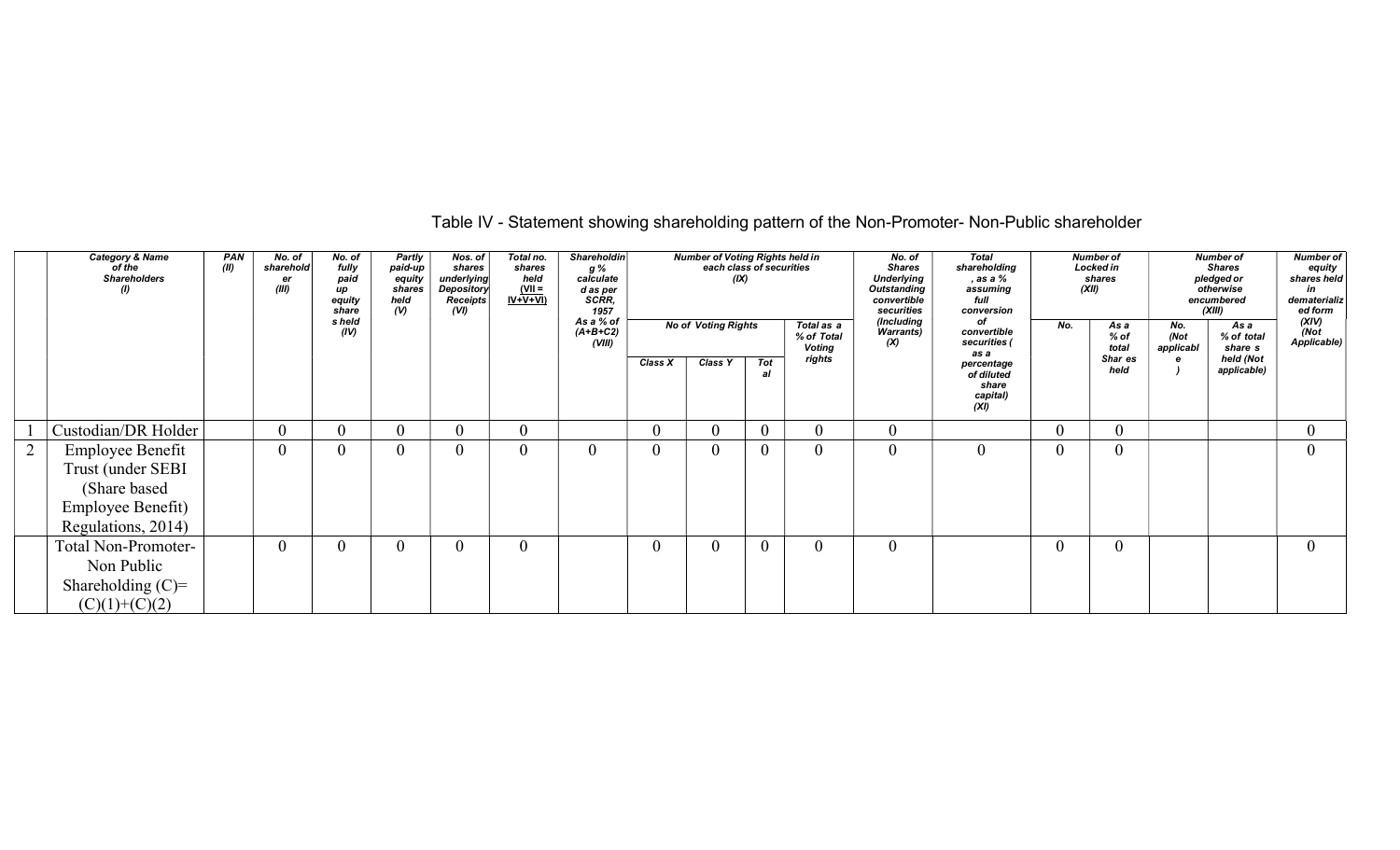| Table IV - Statement showing shareholding pattern of the Non-Promoter- Non-Public shareholder |  |
|-----------------------------------------------------------------------------------------------|--|
|-----------------------------------------------------------------------------------------------|--|

|   | <b>Category &amp; Name</b><br>of the<br><b>Shareholders</b><br>$\omega$ | <b>PAN</b><br>(II) | No. of<br>sharehold<br>er<br>(III) | No. of<br>fully<br>paid<br>up<br>equity<br>share | Partly<br>paid-up<br>equity<br>shares<br>held<br>(V) | Nos. of<br>shares<br>underlying<br><b>Depository</b><br>Receipts<br>(VI) | Total no.<br>shares<br>held<br>$\frac{\text{(VII =}\n}{\text{IV+V+VI}}$ | Shareholdin<br>g %<br>calculate<br>d as per<br>SCRR,<br>1957 |              | Number of Voting Rights held in<br>each class of securities<br>(IX) |                |                                           | No. of<br><b>Shares</b><br><b>Underlying</b><br><b>Outstanding</b><br>convertible<br>securities | <b>Total</b><br>shareholding<br>, as a %<br>assuming<br>full<br>conversion |                | <b>Number of</b><br><b>Locked in</b><br>shares<br>(XII) |                          | <b>Number of</b><br><b>Shares</b><br>pledged or<br>otherwise<br>encumbered<br>(XIII) | <b>Number of</b><br>equity<br>shares held<br>in<br>dematerializ<br>ed form |
|---|-------------------------------------------------------------------------|--------------------|------------------------------------|--------------------------------------------------|------------------------------------------------------|--------------------------------------------------------------------------|-------------------------------------------------------------------------|--------------------------------------------------------------|--------------|---------------------------------------------------------------------|----------------|-------------------------------------------|-------------------------------------------------------------------------------------------------|----------------------------------------------------------------------------|----------------|---------------------------------------------------------|--------------------------|--------------------------------------------------------------------------------------|----------------------------------------------------------------------------|
|   |                                                                         |                    |                                    | s held<br>(IV)                                   |                                                      |                                                                          |                                                                         | As a % of<br>$(A+B+C2)$<br>(VIII)                            |              | <b>No of Voting Rights</b>                                          |                | Total as a<br>% of Total<br><b>Voting</b> | (Including<br><b>Warrants)</b><br>(X)                                                           | оf<br>convertible<br>securities (                                          | No.            | As a<br>$%$ of<br>total                                 | No.<br>(Not<br>applicabl | As a<br>% of total<br>share s                                                        | (XIV)<br>(Not<br>Applicable)                                               |
|   |                                                                         |                    |                                    |                                                  |                                                      |                                                                          |                                                                         |                                                              | Class X      | Class Y                                                             | Tot<br>al      | rights                                    |                                                                                                 | as a<br>percentage<br>of diluted<br>share<br>capital)<br>(XI)              |                | Shar es<br>held                                         |                          | held (Not<br>applicable)                                                             |                                                                            |
|   | Custodian/DR Holder                                                     |                    | $\theta$                           | $\overline{0}$                                   | $\theta$                                             | 0                                                                        | $\theta$                                                                |                                                              | $\mathbf{0}$ |                                                                     | $\overline{0}$ | $\theta$                                  | $\overline{0}$                                                                                  |                                                                            | $\overline{0}$ | 0                                                       |                          |                                                                                      | $\theta$                                                                   |
| 2 | <b>Employee Benefit</b>                                                 |                    | $\theta$                           | $\theta$                                         | $\mathbf{0}$                                         | 0                                                                        | $\theta$                                                                | $\mathbf{0}$                                                 | $\mathbf{0}$ |                                                                     | $\overline{0}$ | $\overline{0}$                            | $\overline{0}$                                                                                  | $\overline{0}$                                                             | $\overline{0}$ | 0                                                       |                          |                                                                                      |                                                                            |
|   | Trust (under SEBI                                                       |                    |                                    |                                                  |                                                      |                                                                          |                                                                         |                                                              |              |                                                                     |                |                                           |                                                                                                 |                                                                            |                |                                                         |                          |                                                                                      |                                                                            |
|   | (Share based)                                                           |                    |                                    |                                                  |                                                      |                                                                          |                                                                         |                                                              |              |                                                                     |                |                                           |                                                                                                 |                                                                            |                |                                                         |                          |                                                                                      |                                                                            |
|   | Employee Benefit)                                                       |                    |                                    |                                                  |                                                      |                                                                          |                                                                         |                                                              |              |                                                                     |                |                                           |                                                                                                 |                                                                            |                |                                                         |                          |                                                                                      |                                                                            |
|   | Regulations, 2014)                                                      |                    |                                    |                                                  |                                                      |                                                                          |                                                                         |                                                              |              |                                                                     |                |                                           |                                                                                                 |                                                                            |                |                                                         |                          |                                                                                      |                                                                            |
|   | <b>Total Non-Promoter-</b>                                              |                    | $\theta$                           | $\theta$                                         | $\overline{0}$                                       | $\theta$                                                                 | $\theta$                                                                |                                                              | $\mathbf{0}$ |                                                                     | $\overline{0}$ | $\overline{0}$                            | $\overline{0}$                                                                                  |                                                                            | $\overline{0}$ | 0                                                       |                          |                                                                                      | $\theta$                                                                   |
|   | Non Public                                                              |                    |                                    |                                                  |                                                      |                                                                          |                                                                         |                                                              |              |                                                                     |                |                                           |                                                                                                 |                                                                            |                |                                                         |                          |                                                                                      |                                                                            |
|   | Shareholding $(C)=$                                                     |                    |                                    |                                                  |                                                      |                                                                          |                                                                         |                                                              |              |                                                                     |                |                                           |                                                                                                 |                                                                            |                |                                                         |                          |                                                                                      |                                                                            |
|   | $(C)(1)+(C)(2)$                                                         |                    |                                    |                                                  |                                                      |                                                                          |                                                                         |                                                              |              |                                                                     |                |                                           |                                                                                                 |                                                                            |                |                                                         |                          |                                                                                      |                                                                            |